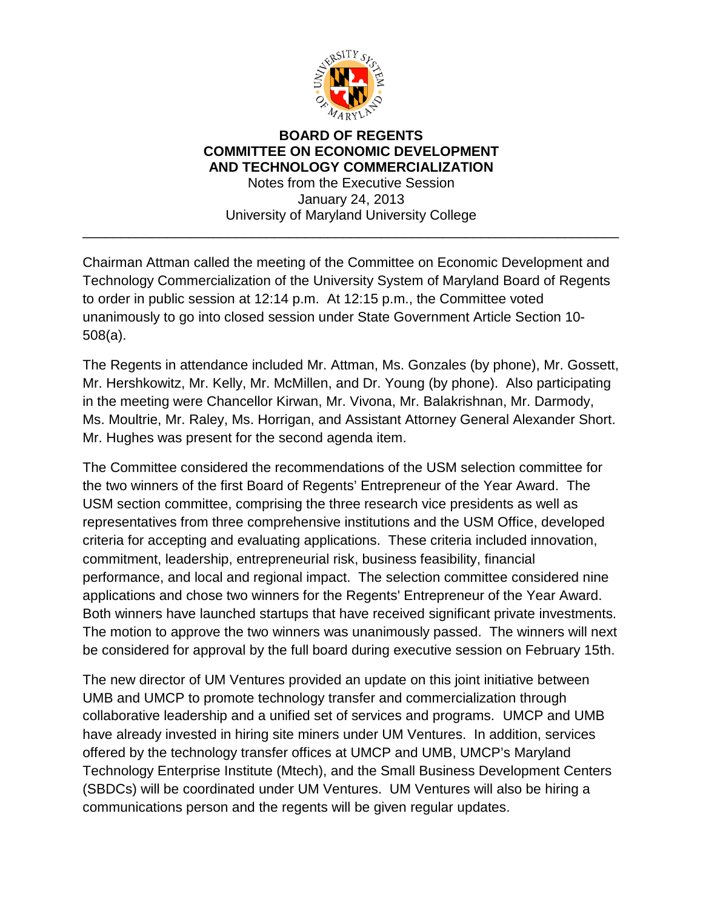

## **BOARD OF REGENTS COMMITTEE ON ECONOMIC DEVELOPMENT AND TECHNOLOGY COMMERCIALIZATION** Notes from the Executive Session January 24, 2013

University of Maryland University College \_\_\_\_\_\_\_\_\_\_\_\_\_\_\_\_\_\_\_\_\_\_\_\_\_\_\_\_\_\_\_\_\_\_\_\_\_\_\_\_\_\_\_\_\_\_\_\_\_\_\_\_\_\_\_\_\_\_\_\_\_\_\_\_\_\_\_\_\_\_

Chairman Attman called the meeting of the Committee on Economic Development and Technology Commercialization of the University System of Maryland Board of Regents to order in public session at 12:14 p.m. At 12:15 p.m., the Committee voted unanimously to go into closed session under State Government Article Section 10- 508(a).

The Regents in attendance included Mr. Attman, Ms. Gonzales (by phone), Mr. Gossett, Mr. Hershkowitz, Mr. Kelly, Mr. McMillen, and Dr. Young (by phone). Also participating in the meeting were Chancellor Kirwan, Mr. Vivona, Mr. Balakrishnan, Mr. Darmody, Ms. Moultrie, Mr. Raley, Ms. Horrigan, and Assistant Attorney General Alexander Short. Mr. Hughes was present for the second agenda item.

The Committee considered the recommendations of the USM selection committee for the two winners of the first Board of Regents' Entrepreneur of the Year Award. The USM section committee, comprising the three research vice presidents as well as representatives from three comprehensive institutions and the USM Office, developed criteria for accepting and evaluating applications. These criteria included innovation, commitment, leadership, entrepreneurial risk, business feasibility, financial performance, and local and regional impact. The selection committee considered nine applications and chose two winners for the Regents' Entrepreneur of the Year Award. Both winners have launched startups that have received significant private investments. The motion to approve the two winners was unanimously passed. The winners will next be considered for approval by the full board during executive session on February 15th.

The new director of UM Ventures provided an update on this joint initiative between UMB and UMCP to promote technology transfer and commercialization through collaborative leadership and a unified set of services and programs. UMCP and UMB have already invested in hiring site miners under UM Ventures. In addition, services offered by the technology transfer offices at UMCP and UMB, UMCP's Maryland Technology Enterprise Institute (Mtech), and the Small Business Development Centers (SBDCs) will be coordinated under UM Ventures. UM Ventures will also be hiring a communications person and the regents will be given regular updates.